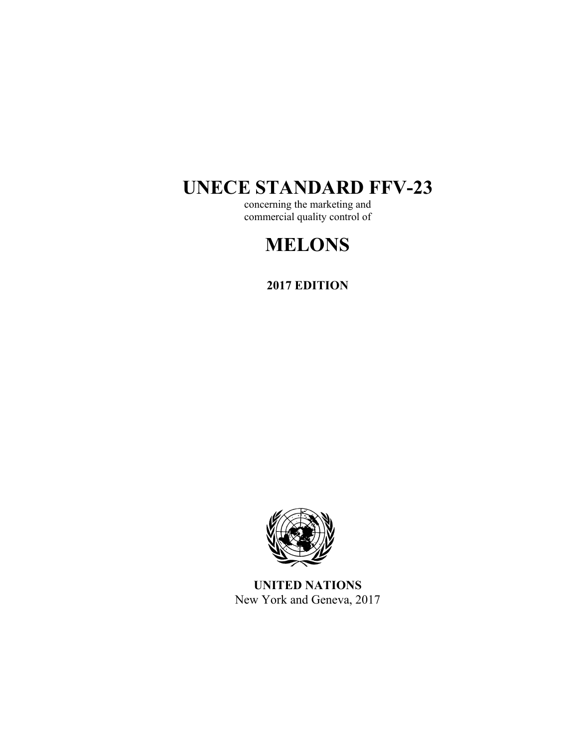## **UNECE STANDARD FFV-23**

concerning the marketing and commercial quality control of

# **MELONS**

**2017 EDITION** 



**UNITED NATIONS**  New York and Geneva, 2017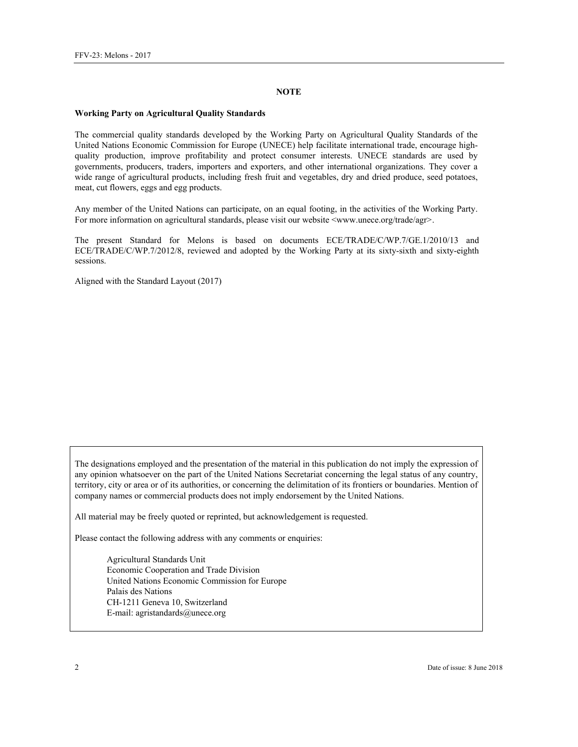#### **NOTE**

#### **Working Party on Agricultural Quality Standards**

The commercial quality standards developed by the Working Party on Agricultural Quality Standards of the United Nations Economic Commission for Europe (UNECE) help facilitate international trade, encourage highquality production, improve profitability and protect consumer interests. UNECE standards are used by governments, producers, traders, importers and exporters, and other international organizations. They cover a wide range of agricultural products, including fresh fruit and vegetables, dry and dried produce, seed potatoes, meat, cut flowers, eggs and egg products.

Any member of the United Nations can participate, on an equal footing, in the activities of the Working Party. For more information on agricultural standards, please visit our website <www.unece.org/trade/agr>.

The present Standard for Melons is based on documents ECE/TRADE/C/WP.7/GE.1/2010/13 and ECE/TRADE/C/WP.7/2012/8, reviewed and adopted by the Working Party at its sixty-sixth and sixty-eighth sessions.

Aligned with the Standard Layout (2017)

The designations employed and the presentation of the material in this publication do not imply the expression of any opinion whatsoever on the part of the United Nations Secretariat concerning the legal status of any country, territory, city or area or of its authorities, or concerning the delimitation of its frontiers or boundaries. Mention of company names or commercial products does not imply endorsement by the United Nations.

All material may be freely quoted or reprinted, but acknowledgement is requested.

Please contact the following address with any comments or enquiries:

Agricultural Standards Unit Economic Cooperation and Trade Division United Nations Economic Commission for Europe Palais des Nations CH-1211 Geneva 10, Switzerland E-mail: agristandards@unece.org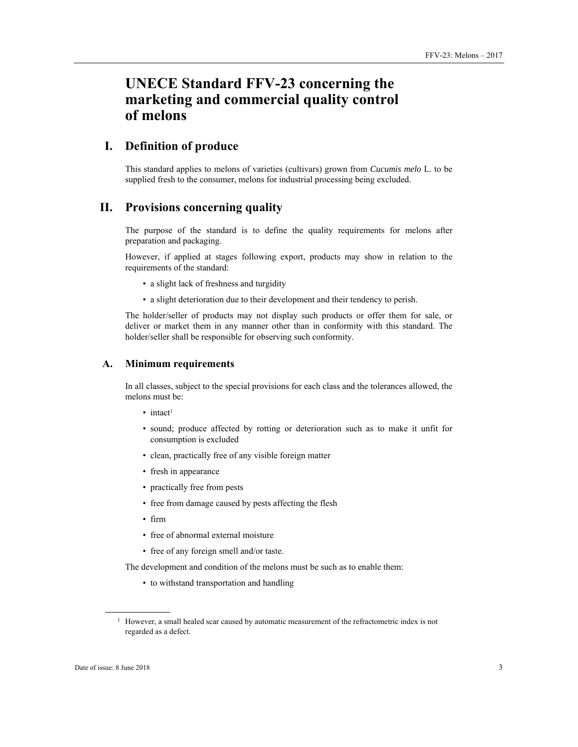## **UNECE Standard FFV-23 concerning the marketing and commercial quality control of melons**

## **I. Definition of produce**

This standard applies to melons of varieties (cultivars) grown from *Cucumis melo* L*.* to be supplied fresh to the consumer, melons for industrial processing being excluded.

## **II. Provisions concerning quality**

The purpose of the standard is to define the quality requirements for melons after preparation and packaging.

However, if applied at stages following export, products may show in relation to the requirements of the standard:

- a slight lack of freshness and turgidity
- a slight deterioration due to their development and their tendency to perish.

The holder/seller of products may not display such products or offer them for sale, or deliver or market them in any manner other than in conformity with this standard. The holder/seller shall be responsible for observing such conformity.

#### **A. Minimum requirements**

In all classes, subject to the special provisions for each class and the tolerances allowed, the melons must be:

- $\cdot$  intact<sup>1</sup>
- sound; produce affected by rotting or deterioration such as to make it unfit for consumption is excluded
- clean, practically free of any visible foreign matter
- fresh in appearance
- practically free from pests
- free from damage caused by pests affecting the flesh
- firm
- free of abnormal external moisture
- free of any foreign smell and/or taste.

The development and condition of the melons must be such as to enable them:

• to withstand transportation and handling

 $\overline{a}$ 

<sup>&</sup>lt;sup>1</sup> However, a small healed scar caused by automatic measurement of the refractometric index is not regarded as a defect.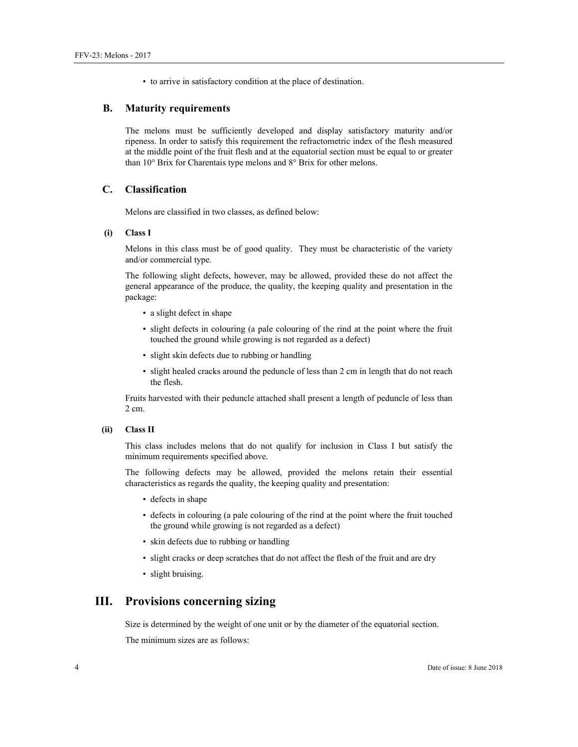• to arrive in satisfactory condition at the place of destination.

#### **B. Maturity requirements**

The melons must be sufficiently developed and display satisfactory maturity and/or ripeness. In order to satisfy this requirement the refractometric index of the flesh measured at the middle point of the fruit flesh and at the equatorial section must be equal to or greater than 10° Brix for Charentais type melons and 8° Brix for other melons.

#### **C. Classification**

Melons are classified in two classes, as defined below:

#### **(i) Class I**

Melons in this class must be of good quality. They must be characteristic of the variety and/or commercial type.

The following slight defects, however, may be allowed, provided these do not affect the general appearance of the produce, the quality, the keeping quality and presentation in the package:

- a slight defect in shape
- slight defects in colouring (a pale colouring of the rind at the point where the fruit touched the ground while growing is not regarded as a defect)
- slight skin defects due to rubbing or handling
- slight healed cracks around the peduncle of less than 2 cm in length that do not reach the flesh.

Fruits harvested with their peduncle attached shall present a length of peduncle of less than 2 cm.

#### **(ii) Class II**

This class includes melons that do not qualify for inclusion in Class I but satisfy the minimum requirements specified above.

The following defects may be allowed, provided the melons retain their essential characteristics as regards the quality, the keeping quality and presentation:

- defects in shape
- defects in colouring (a pale colouring of the rind at the point where the fruit touched the ground while growing is not regarded as a defect)
- skin defects due to rubbing or handling
- slight cracks or deep scratches that do not affect the flesh of the fruit and are dry
- slight bruising.

## **III. Provisions concerning sizing**

Size is determined by the weight of one unit or by the diameter of the equatorial section. The minimum sizes are as follows: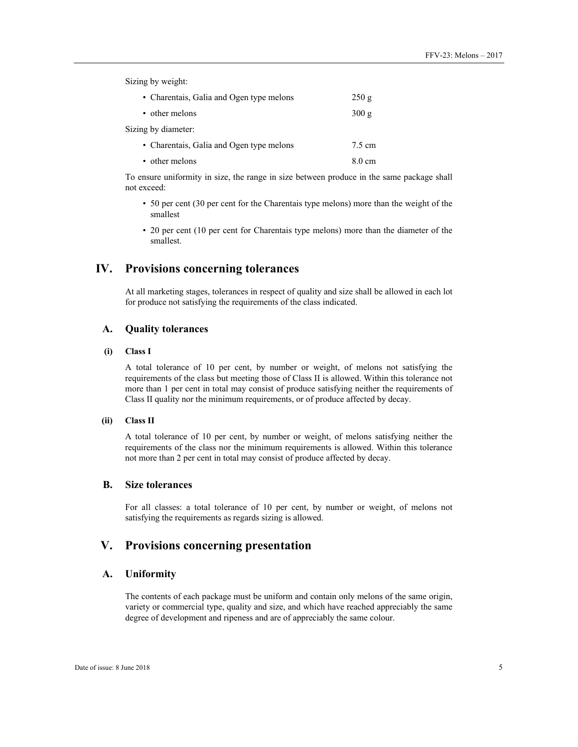Sizing by weight:

| • Charentais, Galia and Ogen type melons | 250 g  |
|------------------------------------------|--------|
| • other melons                           | 300 g  |
| Sizing by diameter:                      |        |
| • Charentais, Galia and Ogen type melons | 7.5 cm |
| • other melons                           | 80 cm  |

To ensure uniformity in size, the range in size between produce in the same package shall not exceed:

- 50 per cent (30 per cent for the Charentais type melons) more than the weight of the smallest
- 20 per cent (10 per cent for Charentais type melons) more than the diameter of the smallest.

### **IV. Provisions concerning tolerances**

At all marketing stages, tolerances in respect of quality and size shall be allowed in each lot for produce not satisfying the requirements of the class indicated.

#### **A. Quality tolerances**

#### **(i) Class I**

A total tolerance of 10 per cent, by number or weight, of melons not satisfying the requirements of the class but meeting those of Class II is allowed. Within this tolerance not more than 1 per cent in total may consist of produce satisfying neither the requirements of Class II quality nor the minimum requirements, or of produce affected by decay.

#### **(ii) Class II**

A total tolerance of 10 per cent, by number or weight, of melons satisfying neither the requirements of the class nor the minimum requirements is allowed. Within this tolerance not more than 2 per cent in total may consist of produce affected by decay.

#### **B. Size tolerances**

For all classes: a total tolerance of 10 per cent, by number or weight, of melons not satisfying the requirements as regards sizing is allowed.

## **V. Provisions concerning presentation**

#### **A. Uniformity**

The contents of each package must be uniform and contain only melons of the same origin, variety or commercial type, quality and size, and which have reached appreciably the same degree of development and ripeness and are of appreciably the same colour.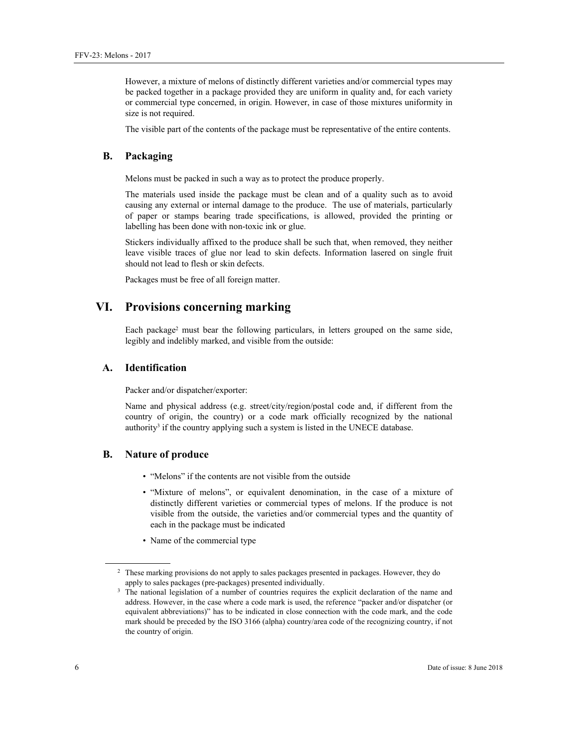However, a mixture of melons of distinctly different varieties and/or commercial types may be packed together in a package provided they are uniform in quality and, for each variety or commercial type concerned, in origin. However, in case of those mixtures uniformity in size is not required.

The visible part of the contents of the package must be representative of the entire contents.

#### **B. Packaging**

Melons must be packed in such a way as to protect the produce properly.

The materials used inside the package must be clean and of a quality such as to avoid causing any external or internal damage to the produce. The use of materials, particularly of paper or stamps bearing trade specifications, is allowed, provided the printing or labelling has been done with non-toxic ink or glue.

Stickers individually affixed to the produce shall be such that, when removed, they neither leave visible traces of glue nor lead to skin defects. Information lasered on single fruit should not lead to flesh or skin defects.

Packages must be free of all foreign matter.

## **VI. Provisions concerning marking**

Each package<sup>2</sup> must bear the following particulars, in letters grouped on the same side, legibly and indelibly marked, and visible from the outside:

#### **A. Identification**

Packer and/or dispatcher/exporter:

Name and physical address (e.g. street/city/region/postal code and, if different from the country of origin, the country) or a code mark officially recognized by the national authority<sup>3</sup> if the country applying such a system is listed in the UNECE database.

#### **B. Nature of produce**

- "Melons" if the contents are not visible from the outside
- "Mixture of melons", or equivalent denomination, in the case of a mixture of distinctly different varieties or commercial types of melons. If the produce is not visible from the outside, the varieties and/or commercial types and the quantity of each in the package must be indicated
- Name of the commercial type

 $\overline{a}$ 

<sup>&</sup>lt;sup>2</sup> These marking provisions do not apply to sales packages presented in packages. However, they do apply to sales packages (pre-packages) presented individually.<br><sup>3</sup> The national legislation of a number of countries requires the explicit declaration of the name and

address. However, in the case where a code mark is used, the reference "packer and/or dispatcher (or equivalent abbreviations)" has to be indicated in close connection with the code mark, and the code mark should be preceded by the ISO 3166 (alpha) country/area code of the recognizing country, if not the country of origin.